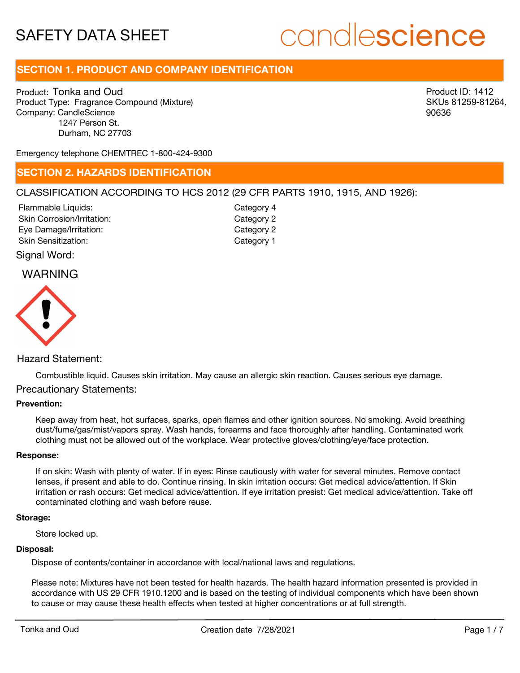## **SECTION 1. PRODUCT AND COMPANY IDENTIFICATION**

Product: Tonka and Oud Product Type: Fragrance Compound (Mixture) Company: CandleScience 1247 Person St. Durham, NC 27703

Product ID: 1412 SKUs 81259-81264, 90636

Emergency telephone CHEMTREC 1-800-424-9300

## **SECTION 2. HAZARDS IDENTIFICATION**

## CLASSIFICATION ACCORDING TO HCS 2012 (29 CFR PARTS 1910, 1915, AND 1926):

Skin Corrosion/Irritation: Eye Damage/Irritation: Skin Sensitization: Flammable Liquids:

Category 2 Category 2 Category 1 Category 4

Signal Word:

## WARNING



## Hazard Statement:

Combustible liquid. Causes skin irritation. May cause an allergic skin reaction. Causes serious eye damage.

## Precautionary Statements:

### **Prevention:**

Keep away from heat, hot surfaces, sparks, open flames and other ignition sources. No smoking. Avoid breathing dust/fume/gas/mist/vapors spray. Wash hands, forearms and face thoroughly after handling. Contaminated work clothing must not be allowed out of the workplace. Wear protective gloves/clothing/eye/face protection.

#### **Response:**

If on skin: Wash with plenty of water. If in eyes: Rinse cautiously with water for several minutes. Remove contact lenses, if present and able to do. Continue rinsing. In skin irritation occurs: Get medical advice/attention. If Skin irritation or rash occurs: Get medical advice/attention. If eye irritation presist: Get medical advice/attention. Take off contaminated clothing and wash before reuse.

#### **Storage:**

Store locked up.

#### **Disposal:**

Dispose of contents/container in accordance with local/national laws and regulations.

Please note: Mixtures have not been tested for health hazards. The health hazard information presented is provided in accordance with US 29 CFR 1910.1200 and is based on the testing of individual components which have been shown to cause or may cause these health effects when tested at higher concentrations or at full strength.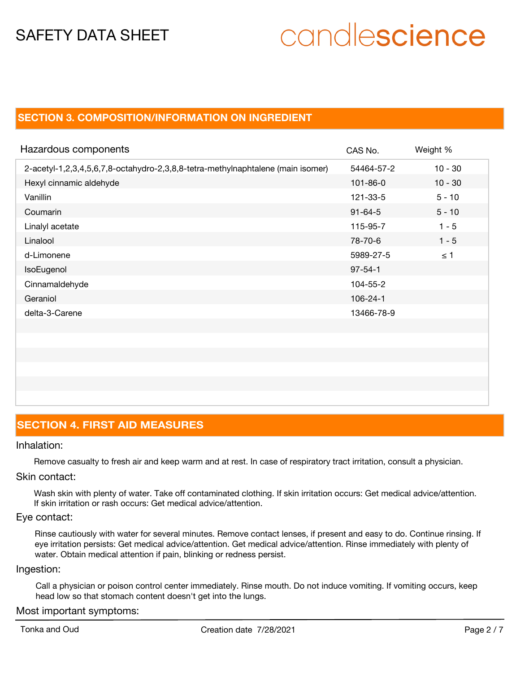## **SECTION 3. COMPOSITION/INFORMATION ON INGREDIENT**

| Hazardous components                                                            | CAS No.        | Weight %  |
|---------------------------------------------------------------------------------|----------------|-----------|
| 2-acetyl-1,2,3,4,5,6,7,8-octahydro-2,3,8,8-tetra-methylnaphtalene (main isomer) | 54464-57-2     | $10 - 30$ |
| Hexyl cinnamic aldehyde                                                         | $101 - 86 - 0$ | $10 - 30$ |
| Vanillin                                                                        | 121-33-5       | $5 - 10$  |
| Coumarin                                                                        | $91 - 64 - 5$  | $5 - 10$  |
| Linalyl acetate                                                                 | 115-95-7       | $1 - 5$   |
| Linalool                                                                        | 78-70-6        | $1 - 5$   |
| d-Limonene                                                                      | 5989-27-5      | $\leq$ 1  |
| IsoEugenol                                                                      | $97 - 54 - 1$  |           |
| Cinnamaldehyde                                                                  | 104-55-2       |           |
| Geraniol                                                                        | $106 - 24 - 1$ |           |
| delta-3-Carene                                                                  | 13466-78-9     |           |
|                                                                                 |                |           |
|                                                                                 |                |           |

## **SECTION 4. FIRST AID MEASURES**

## Inhalation:

Remove casualty to fresh air and keep warm and at rest. In case of respiratory tract irritation, consult a physician.

### Skin contact:

Wash skin with plenty of water. Take off contaminated clothing. If skin irritation occurs: Get medical advice/attention. If skin irritation or rash occurs: Get medical advice/attention.

### Eye contact:

Rinse cautiously with water for several minutes. Remove contact lenses, if present and easy to do. Continue rinsing. If eye irritation persists: Get medical advice/attention. Get medical advice/attention. Rinse immediately with plenty of water. Obtain medical attention if pain, blinking or redness persist.

### Ingestion:

Call a physician or poison control center immediately. Rinse mouth. Do not induce vomiting. If vomiting occurs, keep head low so that stomach content doesn't get into the lungs.

## Most important symptoms: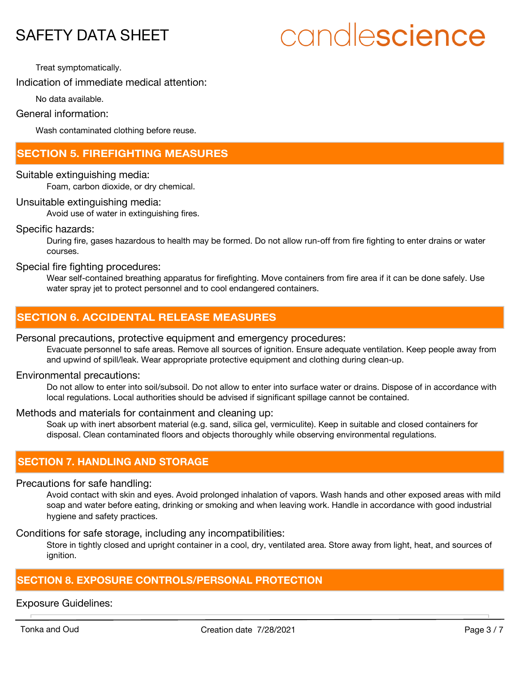# candlescience

Treat symptomatically.

Indication of immediate medical attention:

No data available.

General information:

Wash contaminated clothing before reuse.

## **SECTION 5. FIREFIGHTING MEASURES**

Suitable extinguishing media:

Foam, carbon dioxide, or dry chemical.

Unsuitable extinguishing media:

Avoid use of water in extinguishing fires.

Specific hazards:

During fire, gases hazardous to health may be formed. Do not allow run-off from fire fighting to enter drains or water courses.

Special fire fighting procedures:

Wear self-contained breathing apparatus for firefighting. Move containers from fire area if it can be done safely. Use water spray jet to protect personnel and to cool endangered containers.

## **SECTION 6. ACCIDENTAL RELEASE MEASURES**

## Personal precautions, protective equipment and emergency procedures:

Evacuate personnel to safe areas. Remove all sources of ignition. Ensure adequate ventilation. Keep people away from and upwind of spill/leak. Wear appropriate protective equipment and clothing during clean-up.

### Environmental precautions:

Do not allow to enter into soil/subsoil. Do not allow to enter into surface water or drains. Dispose of in accordance with local regulations. Local authorities should be advised if significant spillage cannot be contained.

## Methods and materials for containment and cleaning up:

Soak up with inert absorbent material (e.g. sand, silica gel, vermiculite). Keep in suitable and closed containers for disposal. Clean contaminated floors and objects thoroughly while observing environmental regulations.

## **SECTION 7. HANDLING AND STORAGE**

Precautions for safe handling:

Avoid contact with skin and eyes. Avoid prolonged inhalation of vapors. Wash hands and other exposed areas with mild soap and water before eating, drinking or smoking and when leaving work. Handle in accordance with good industrial hygiene and safety practices.

Conditions for safe storage, including any incompatibilities:

Store in tightly closed and upright container in a cool, dry, ventilated area. Store away from light, heat, and sources of ignition.

## **SECTION 8. EXPOSURE CONTROLS/PERSONAL PROTECTION**

Exposure Guidelines: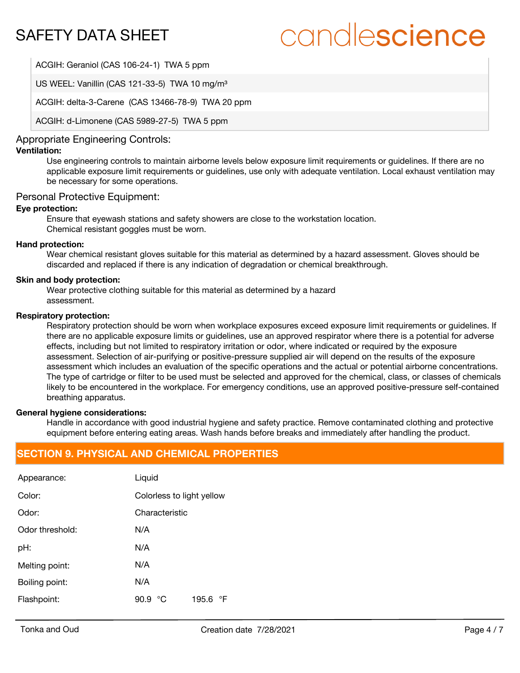## candlescience

ACGIH: Geraniol (CAS 106-24-1) TWA 5 ppm

US WEEL: Vanillin (CAS 121-33-5) TWA 10 mg/m<sup>3</sup>

ACGIH: delta-3-Carene (CAS 13466-78-9) TWA 20 ppm

ACGIH: d-Limonene (CAS 5989-27-5) TWA 5 ppm

## Appropriate Engineering Controls:

## **Ventilation:**

Use engineering controls to maintain airborne levels below exposure limit requirements or guidelines. If there are no applicable exposure limit requirements or guidelines, use only with adequate ventilation. Local exhaust ventilation may be necessary for some operations.

## Personal Protective Equipment:

## **Eye protection:**

Ensure that eyewash stations and safety showers are close to the workstation location. Chemical resistant goggles must be worn.

## **Hand protection:**

Wear chemical resistant gloves suitable for this material as determined by a hazard assessment. Gloves should be discarded and replaced if there is any indication of degradation or chemical breakthrough.

## **Skin and body protection:**

Wear protective clothing suitable for this material as determined by a hazard assessment.

### **Respiratory protection:**

Respiratory protection should be worn when workplace exposures exceed exposure limit requirements or guidelines. If there are no applicable exposure limits or guidelines, use an approved respirator where there is a potential for adverse effects, including but not limited to respiratory irritation or odor, where indicated or required by the exposure assessment. Selection of air-purifying or positive-pressure supplied air will depend on the results of the exposure assessment which includes an evaluation of the specific operations and the actual or potential airborne concentrations. The type of cartridge or filter to be used must be selected and approved for the chemical, class, or classes of chemicals likely to be encountered in the workplace. For emergency conditions, use an approved positive-pressure self-contained breathing apparatus.

### **General hygiene considerations:**

Handle in accordance with good industrial hygiene and safety practice. Remove contaminated clothing and protective equipment before entering eating areas. Wash hands before breaks and immediately after handling the product.

## **SECTION 9. PHYSICAL AND CHEMICAL PROPERTIES**

| Appearance:     | Liquid                     |  |  |
|-----------------|----------------------------|--|--|
| Color:          | Colorless to light yellow  |  |  |
| Odor:           | Characteristic             |  |  |
| Odor threshold: | N/A                        |  |  |
| pH:             | N/A                        |  |  |
| Melting point:  | N/A                        |  |  |
| Boiling point:  | N/A                        |  |  |
| Flashpoint:     | 195.6<br>90.9<br>°C<br>⊸°F |  |  |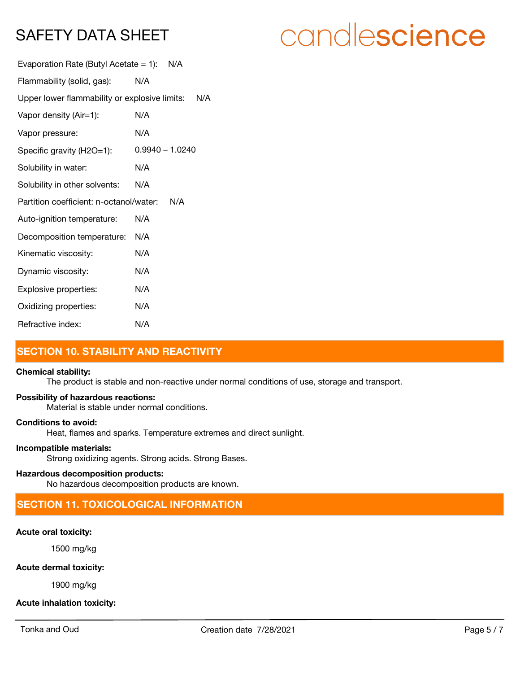## candlescience

| Evaporation Rate (Butyl Acetate = 1): $N/A$       |                   |  |
|---------------------------------------------------|-------------------|--|
| Flammability (solid, gas):                        | N/A               |  |
| Upper lower flammability or explosive limits: N/A |                   |  |
| Vapor density (Air=1):                            | N/A               |  |
| Vapor pressure:                                   | N/A               |  |
| Specific gravity (H2O=1):                         | $0.9940 - 1.0240$ |  |
| Solubility in water:                              | N/A               |  |
| Solubility in other solvents:                     | N/A               |  |
| Partition coefficient: n-octanol/water:<br>N/A    |                   |  |
| Auto-ignition temperature:                        | N/A               |  |
| Decomposition temperature:                        | N/A               |  |
| Kinematic viscosity:                              | N/A               |  |
| Dynamic viscosity:                                | N/A               |  |
| Explosive properties:                             | N/A               |  |
| Oxidizing properties:                             | N/A               |  |
| Refractive index:                                 | N/A               |  |

## **SECTION 10. STABILITY AND REACTIVITY**

### **Chemical stability:**

The product is stable and non-reactive under normal conditions of use, storage and transport.

## **Possibility of hazardous reactions:**

Material is stable under normal conditions.

### **Conditions to avoid:**

Heat, flames and sparks. Temperature extremes and direct sunlight.

## **Incompatible materials:**

Strong oxidizing agents. Strong acids. Strong Bases.

## **Hazardous decomposition products:**

No hazardous decomposition products are known.

## **SECTION 11. TOXICOLOGICAL INFORMATION**

## **Acute oral toxicity:**

1500 mg/kg

## **Acute dermal toxicity:**

1900 mg/kg

## **Acute inhalation toxicity:**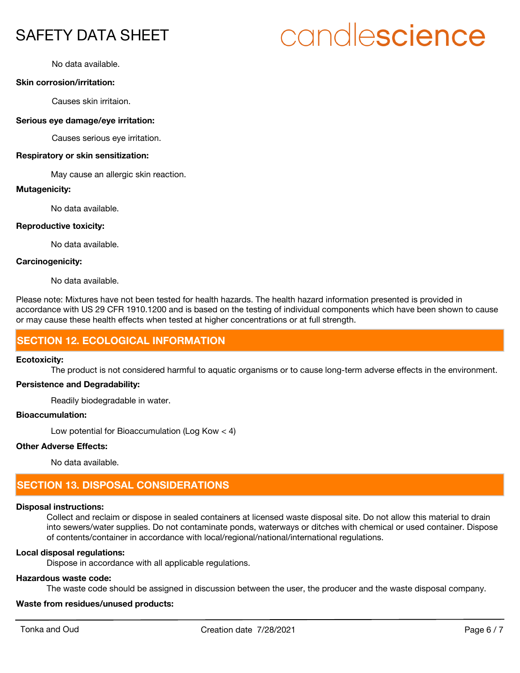# candlescience

No data available.

### **Skin corrosion/irritation:**

Causes skin irritaion.

#### **Serious eye damage/eye irritation:**

Causes serious eye irritation.

#### **Respiratory or skin sensitization:**

May cause an allergic skin reaction.

#### **Mutagenicity:**

No data available.

#### **Reproductive toxicity:**

No data available.

#### **Carcinogenicity:**

No data available.

Please note: Mixtures have not been tested for health hazards. The health hazard information presented is provided in accordance with US 29 CFR 1910.1200 and is based on the testing of individual components which have been shown to cause or may cause these health effects when tested at higher concentrations or at full strength.

## **SECTION 12. ECOLOGICAL INFORMATION**

#### **Ecotoxicity:**

The product is not considered harmful to aquatic organisms or to cause long-term adverse effects in the environment.

## **Persistence and Degradability:**

Readily biodegradable in water.

## **Bioaccumulation:**

Low potential for Bioaccumulation (Log Kow < 4)

#### **Other Adverse Effects:**

No data available.

## **SECTION 13. DISPOSAL CONSIDERATIONS**

### **Disposal instructions:**

Collect and reclaim or dispose in sealed containers at licensed waste disposal site. Do not allow this material to drain into sewers/water supplies. Do not contaminate ponds, waterways or ditches with chemical or used container. Dispose of contents/container in accordance with local/regional/national/international regulations.

#### **Local disposal regulations:**

Dispose in accordance with all applicable regulations.

#### **Hazardous waste code:**

The waste code should be assigned in discussion between the user, the producer and the waste disposal company.

### **Waste from residues/unused products:**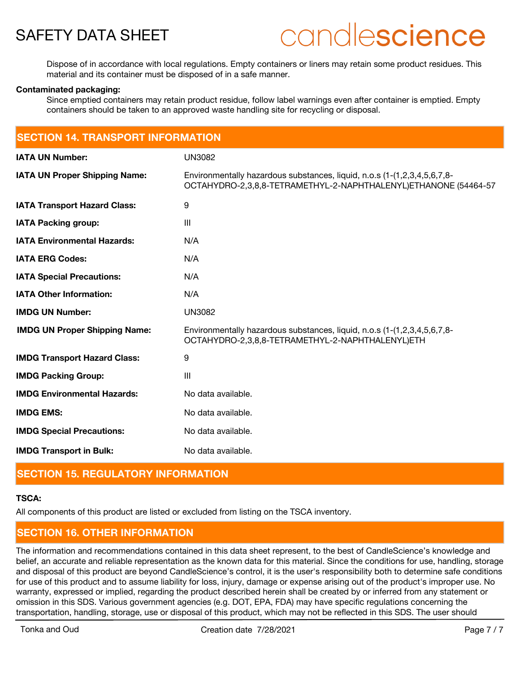

Dispose of in accordance with local regulations. Empty containers or liners may retain some product residues. This material and its container must be disposed of in a safe manner.

#### **Contaminated packaging:**

Since emptied containers may retain product residue, follow label warnings even after container is emptied. Empty containers should be taken to an approved waste handling site for recycling or disposal.

| <b>SECTION 14. TRANSPORT INFORMATION</b> |                                                                                                                                             |  |
|------------------------------------------|---------------------------------------------------------------------------------------------------------------------------------------------|--|
| <b>IATA UN Number:</b>                   | <b>UN3082</b>                                                                                                                               |  |
| <b>IATA UN Proper Shipping Name:</b>     | Environmentally hazardous substances, liquid, n.o.s (1-(1,2,3,4,5,6,7,8-<br>OCTAHYDRO-2,3,8,8-TETRAMETHYL-2-NAPHTHALENYL)ETHANONE (54464-57 |  |
| <b>IATA Transport Hazard Class:</b>      | 9                                                                                                                                           |  |
| <b>IATA Packing group:</b>               | Ш                                                                                                                                           |  |
| <b>IATA Environmental Hazards:</b>       | N/A                                                                                                                                         |  |
| <b>IATA ERG Codes:</b>                   | N/A                                                                                                                                         |  |
| <b>IATA Special Precautions:</b>         | N/A                                                                                                                                         |  |
| <b>IATA Other Information:</b>           | N/A                                                                                                                                         |  |
| <b>IMDG UN Number:</b>                   | <b>UN3082</b>                                                                                                                               |  |
| <b>IMDG UN Proper Shipping Name:</b>     | Environmentally hazardous substances, liquid, n.o.s (1-(1,2,3,4,5,6,7,8-<br>OCTAHYDRO-2,3,8,8-TETRAMETHYL-2-NAPHTHALENYL)ETH                |  |
| <b>IMDG Transport Hazard Class:</b>      | 9                                                                                                                                           |  |
| <b>IMDG Packing Group:</b>               | $\mathbf{III}$                                                                                                                              |  |
| <b>IMDG Environmental Hazards:</b>       | No data available.                                                                                                                          |  |
| <b>IMDG EMS:</b>                         | No data available.                                                                                                                          |  |
| <b>IMDG Special Precautions:</b>         | No data available.                                                                                                                          |  |
| <b>IMDG Transport in Bulk:</b>           | No data available.                                                                                                                          |  |

## **SECTION 15. REGULATORY INFORMATION**

#### **TSCA:**

All components of this product are listed or excluded from listing on the TSCA inventory.

## **SECTION 16. OTHER INFORMATION**

The information and recommendations contained in this data sheet represent, to the best of CandleScience's knowledge and belief, an accurate and reliable representation as the known data for this material. Since the conditions for use, handling, storage and disposal of this product are beyond CandleScience's control, it is the user's responsibility both to determine safe conditions for use of this product and to assume liability for loss, injury, damage or expense arising out of the product's improper use. No warranty, expressed or implied, regarding the product described herein shall be created by or inferred from any statement or omission in this SDS. Various government agencies (e.g. DOT, EPA, FDA) may have specific regulations concerning the transportation, handling, storage, use or disposal of this product, which may not be reflected in this SDS. The user should